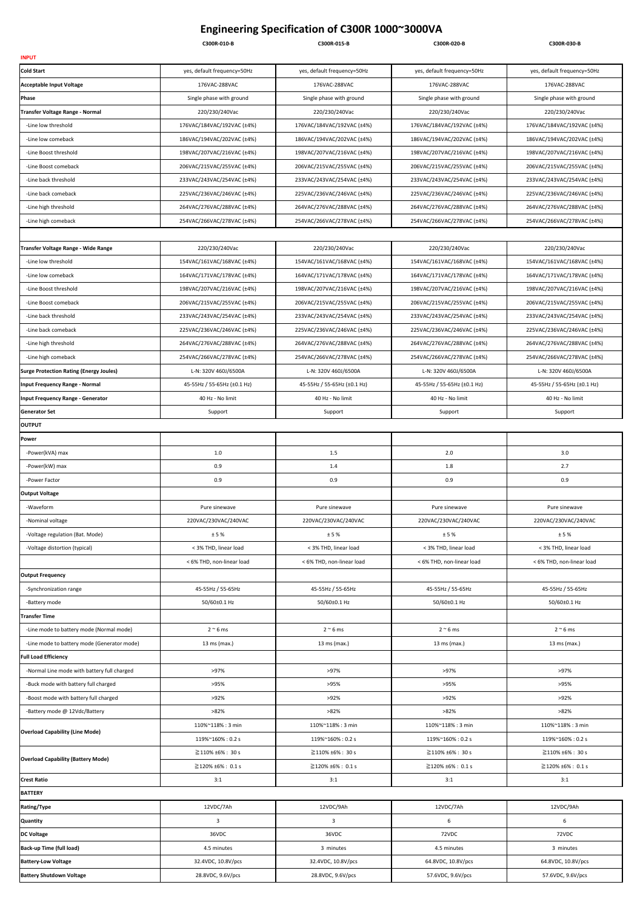## Engineering Specification of C300R 1000~3000VA

|                                                                            | C300R-010-B                 | C300R-015-B                 | C300R-020-B                 | C300R-030-B                 |
|----------------------------------------------------------------------------|-----------------------------|-----------------------------|-----------------------------|-----------------------------|
| <b>INPUT</b>                                                               |                             |                             |                             |                             |
| <b>Cold Start</b>                                                          | yes, default frequency=50Hz | yes, default frequency=50Hz | yes, default frequency=50Hz | yes, default frequency=50Hz |
| <b>Acceptable Input Voltage</b>                                            | 176VAC-288VAC               | 176VAC-288VAC               | 176VAC-288VAC               | 176VAC-288VAC               |
| Phase                                                                      | Single phase with ground    | Single phase with ground    | Single phase with ground    | Single phase with ground    |
| Transfer Voltage Range - Normal                                            | 220/230/240Vac              | 220/230/240Vac              | 220/230/240Vac              | 220/230/240Vac              |
| -Line low threshold                                                        | 176VAC/184VAC/192VAC (±4%)  | 176VAC/184VAC/192VAC (±4%)  | 176VAC/184VAC/192VAC (±4%)  | 176VAC/184VAC/192VAC (±4%)  |
| -Line low comeback                                                         | 186VAC/194VAC/202VAC (±4%)  | 186VAC/194VAC/202VAC (±4%)  | 186VAC/194VAC/202VAC (±4%)  | 186VAC/194VAC/202VAC (±4%)  |
| -Line Boost threshold                                                      | 198VAC/207VAC/216VAC (±4%)  | 198VAC/207VAC/216VAC (±4%)  | 198VAC/207VAC/216VAC (±4%)  | 198VAC/207VAC/216VAC (±4%)  |
| -Line Boost comeback                                                       | 206VAC/215VAC/255VAC (±4%)  | 206VAC/215VAC/255VAC (±4%)  | 206VAC/215VAC/255VAC (±4%)  | 206VAC/215VAC/255VAC (±4%)  |
| -Line back threshold                                                       | 233VAC/243VAC/254VAC (±4%)  | 233VAC/243VAC/254VAC (±4%)  | 233VAC/243VAC/254VAC (±4%)  | 233VAC/243VAC/254VAC (±4%)  |
| -Line back comeback                                                        | 225VAC/236VAC/246VAC (±4%)  | 225VAC/236VAC/246VAC (±4%)  | 225VAC/236VAC/246VAC (±4%)  | 225VAC/236VAC/246VAC (±4%)  |
| -Line high threshold                                                       | 264VAC/276VAC/288VAC (±4%)  | 264VAC/276VAC/288VAC (±4%)  | 264VAC/276VAC/288VAC (±4%)  | 264VAC/276VAC/288VAC (±4%)  |
| -Line high comeback                                                        | 254VAC/266VAC/278VAC (±4%)  | 254VAC/266VAC/278VAC (±4%)  | 254VAC/266VAC/278VAC (±4%)  | 254VAC/266VAC/278VAC (±4%)  |
|                                                                            |                             |                             |                             |                             |
| Transfer Voltage Range - Wide Range                                        | 220/230/240Vac              | 220/230/240Vac              | 220/230/240Vac              | 220/230/240Vac              |
| -Line low threshold                                                        | 154VAC/161VAC/168VAC (±4%)  | 154VAC/161VAC/168VAC (±4%)  | 154VAC/161VAC/168VAC (±4%)  | 154VAC/161VAC/168VAC (±4%)  |
| -Line low comeback                                                         | 164VAC/171VAC/178VAC (±4%)  | 164VAC/171VAC/178VAC (±4%)  | 164VAC/171VAC/178VAC (±4%)  | 164VAC/171VAC/178VAC (±4%)  |
| -Line Boost threshold                                                      | 198VAC/207VAC/216VAC (±4%)  | 198VAC/207VAC/216VAC (±4%)  | 198VAC/207VAC/216VAC (±4%)  | 198VAC/207VAC/216VAC (±4%)  |
| -Line Boost comeback                                                       | 206VAC/215VAC/255VAC (±4%)  | 206VAC/215VAC/255VAC (±4%)  | 206VAC/215VAC/255VAC (±4%)  | 206VAC/215VAC/255VAC (±4%)  |
| -Line back threshold                                                       | 233VAC/243VAC/254VAC (±4%)  | 233VAC/243VAC/254VAC (±4%)  | 233VAC/243VAC/254VAC (±4%)  | 233VAC/243VAC/254VAC (±4%)  |
| -Line back comeback                                                        | 225VAC/236VAC/246VAC (±4%)  | 225VAC/236VAC/246VAC (±4%)  | 225VAC/236VAC/246VAC (±4%)  | 225VAC/236VAC/246VAC (±4%)  |
| -Line high threshold                                                       | 264VAC/276VAC/288VAC (±4%)  | 264VAC/276VAC/288VAC (±4%)  | 264VAC/276VAC/288VAC (±4%)  | 264VAC/276VAC/288VAC (±4%)  |
| -Line high comeback                                                        | 254VAC/266VAC/278VAC (±4%)  | 254VAC/266VAC/278VAC (±4%)  | 254VAC/266VAC/278VAC (±4%)  | 254VAC/266VAC/278VAC (±4%)  |
| <b>Surge Protection Rating (Energy Joules)</b>                             | L-N: 320V 460J/6500A        | L-N: 320V 460J/6500A        | L-N: 320V 460J/6500A        | L-N: 320V 460J/6500A        |
| <b>Input Frequency Range - Normal</b>                                      | 45-55Hz / 55-65Hz (±0.1 Hz) | 45-55Hz / 55-65Hz (±0.1 Hz) | 45-55Hz / 55-65Hz (±0.1 Hz) | 45-55Hz / 55-65Hz (±0.1 Hz) |
| <b>Input Frequency Range - Generator</b>                                   | 40 Hz - No limit            | 40 Hz - No limit            | 40 Hz - No limit            | 40 Hz - No limit            |
| <b>Generator Set</b>                                                       | Support                     | Support                     | Support                     | Support                     |
| <b>OUTPUT</b>                                                              |                             |                             |                             |                             |
| Power                                                                      |                             |                             |                             |                             |
| -Power(kVA) max                                                            | $1.0\,$                     | 1.5                         | 2.0                         | 3.0                         |
| -Power(kW) max                                                             | 0.9                         | 1.4                         | 1.8                         | 2.7                         |
| -Power Factor                                                              | 0.9                         | 0.9                         | 0.9                         | 0.9                         |
| <b>Output Voltage</b>                                                      |                             |                             |                             |                             |
| -Waveform                                                                  | Pure sinewave               | Pure sinewave               | Pure sinewave               | Pure sinewave               |
| -Nominal voltage                                                           | 220VAC/230VAC/240VAC        | 220VAC/230VAC/240VAC        | 220VAC/230VAC/240VAC        | 220VAC/230VAC/240VAC        |
| -Voltage regulation (Bat. Mode)                                            | ±5%                         | ±5%                         | ±5%                         | ±5%                         |
| -Voltage distortion (typical)                                              | < 3% THD, linear load       | < 3% THD, linear load       | < 3% THD, linear load       | < 3% THD, linear load       |
|                                                                            | < 6% THD, non-linear load   | < 6% THD, non-linear load   | < 6% THD, non-linear load   | < 6% THD, non-linear load   |
| <b>Output Frequency</b>                                                    |                             |                             |                             |                             |
| -Synchronization range                                                     | 45-55Hz / 55-65Hz           | 45-55Hz / 55-65Hz           | 45-55Hz / 55-65Hz           | 45-55Hz / 55-65Hz           |
| -Battery mode                                                              | 50/60±0.1 Hz                | 50/60±0.1 Hz                | 50/60±0.1 Hz                | 50/60±0.1 Hz                |
| Transfer Time                                                              |                             |                             |                             |                             |
| -Line mode to battery mode (Normal mode)                                   | $2 \approx 6$ ms            | $2 \approx 6$ ms            | $2 \approx 6$ ms            | $2 \sim 6$ ms               |
| -Line mode to battery mode (Generator mode)                                | 13 ms (max.)                | 13 ms (max.)                | 13 ms (max.)                | 13 ms (max.)                |
|                                                                            |                             |                             |                             |                             |
| <b>Full Load Efficiency</b><br>-Normal Line mode with battery full charged | >97%                        | >97%                        | >97%                        | >97%                        |
|                                                                            |                             |                             |                             |                             |
| -Buck mode with battery full charged                                       | >95%                        | >95%                        | >95%                        | >95%                        |
| -Boost mode with battery full charged                                      | >92%                        | >92%                        | >92%                        | >92%                        |
| -Battery mode @ 12Vdc/Battery                                              | >82%                        | $>82\%$                     | >82%                        | >82%                        |
| <b>Overload Capability (Line Mode)</b>                                     | 110%~118%: 3 min            | 110%~118%: 3 min            | 110%~118%: 3 min            | 110%~118%: 3 min            |
|                                                                            | 119%~160%: 0.2 s            | 119%~160%: 0.2 s            | 119%~160%: 0.2 s            | 119%~160%: 0.2 s            |
| <b>Overload Capability (Battery Mode)</b>                                  | $\geq$ 110% ±6% : 30 s      | $\geq$ 110% ±6% : 30 s      | $\geq$ 110% ±6% : 30 s      | $\geq$ 110% ±6% : 30 s      |
|                                                                            | $\geq$ 120% ±6% : 0.1 s     | ≧120% ±6% : 0.1 s           | ≧120% ±6% : 0.1 s           | ≧120% ±6% : 0.1 s           |
| <b>Crest Ratio</b>                                                         | 3:1                         | 3:1                         | 3:1                         | 3:1                         |
| <b>BATTERY</b>                                                             |                             |                             |                             |                             |
| Rating/Type                                                                | 12VDC/7Ah                   | 12VDC/9Ah                   | 12VDC/7Ah                   | 12VDC/9Ah                   |
| Quantity                                                                   | 3                           | $\mathbf{3}$                | 6                           | $6\overline{6}$             |
| <b>DC Voltage</b>                                                          | 36VDC                       | 36VDC                       | 72VDC                       | 72VDC                       |
| Back-up Time (full load)                                                   | 4.5 minutes                 | 3 minutes                   | 4.5 minutes                 | 3 minutes                   |
| <b>Battery-Low Voltage</b>                                                 | 32.4VDC, 10.8V/pcs          | 32.4VDC, 10.8V/pcs          | 64.8VDC, 10.8V/pcs          | 64.8VDC, 10.8V/pcs          |
| <b>Battery Shutdown Voltage</b>                                            | 28.8VDC, 9.6V/pcs           | 28.8VDC, 9.6V/pcs           | 57.6VDC, 9.6V/pcs           | 57.6VDC, 9.6V/pcs           |